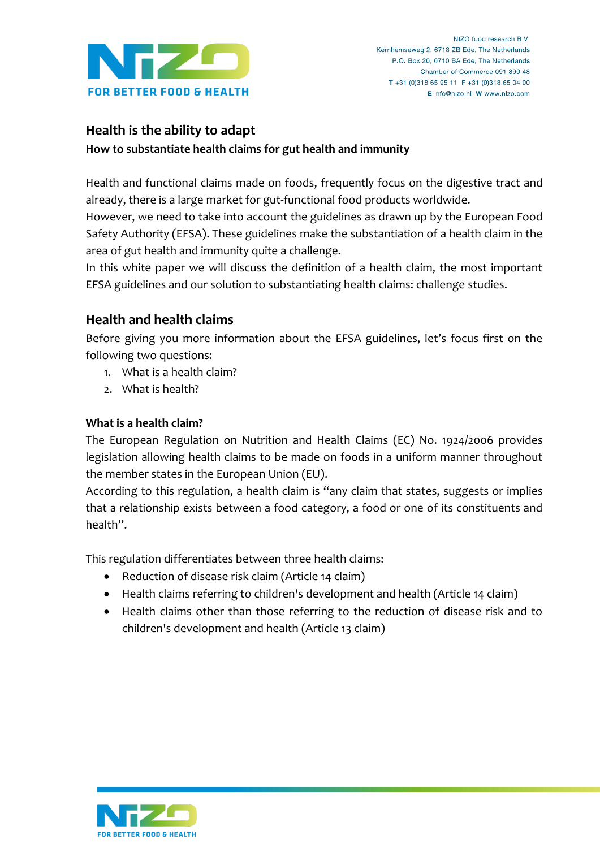

# **Health is the ability to adapt**

**How to substantiate health claims for gut health and immunity**

Health and functional claims made on foods, frequently focus on the digestive tract and already, there is a large market for gut-functional food products worldwide.

However, we need to take into account the guidelines as drawn up by the European Food Safety Authority (EFSA). These guidelines make the substantiation of a health claim in the area of gut health and immunity quite a challenge.

In this white paper we will discuss the definition of a health claim, the most important EFSA guidelines and our solution to substantiating health claims: challenge studies.

# **Health and health claims**

Before giving you more information about the EFSA guidelines, let's focus first on the following two questions:

- 1. What is a health claim?
- 2. What is health?

### **What is a health claim?**

The European Regulation on Nutrition and Health Claims (EC) No. 1924/2006 provides legislation allowing health claims to be made on foods in a uniform manner throughout the member states in the European Union (EU).

According to this regulation, a health claim is "any claim that states, suggests or implies that a relationship exists between a food category, a food or one of its constituents and health".

This regulation differentiates between three health claims:

- Reduction of disease risk claim (Article 14 claim)
- Health claims referring to children's development and health (Article 14 claim)
- Health claims other than those referring to the reduction of disease risk and to children's development and health (Article 13 claim)

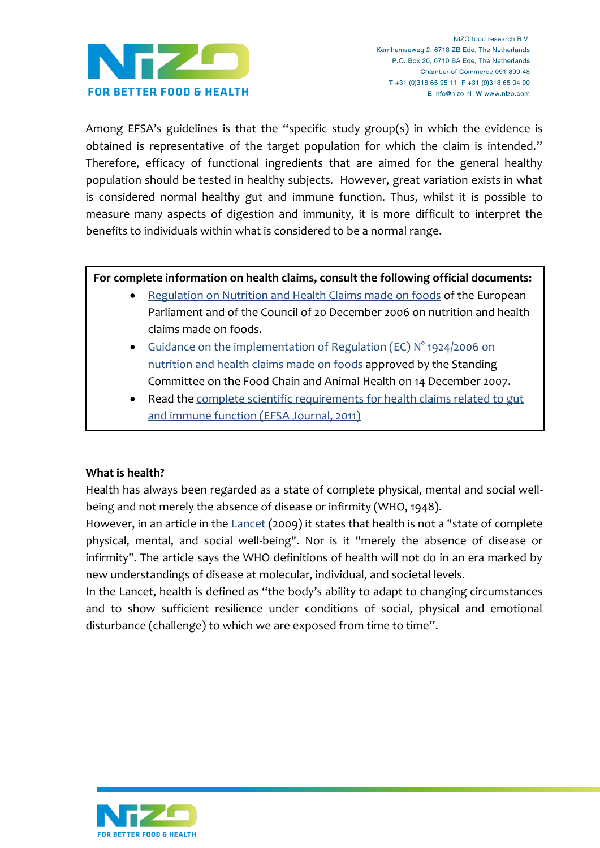

Among EFSA's guidelines is that the "specific study group(s) in which the evidence is obtained is representative of the target population for which the claim is intended." Therefore, efficacy of functional ingredients that are aimed for the general healthy population should be tested in healthy subjects. However, great variation exists in what is considered normal healthy gut and immune function. Thus, whilst it is possible to measure many aspects of digestion and immunity, it is more difficult to interpret the benefits to individuals within what is considered to be a normal range.

#### **For complete information on health claims, consult the following official documents:**

- [Regulation on Nutrition and Health Claims made on foods](http://eur-lex.europa.eu/LexUriServ/LexUriServ.do?uri=CONSLEG:2006R1924:20080304:EN:PDF) of the European Parliament and of the Council of 20 December 2006 on nutrition and health claims made on foods.
- Guidance on the implementation of Regulation (EC) N° 1924/2006 on [nutrition and health claims made on foods](http://ec.europa.eu/food/food/labellingnutrition/claims/guidance_claim_14-12-07.pdf) approved by the Standing Committee on the Food Chain and Animal Health on 14 December 2007.
- Read the complete scientific requirements for health claims related to gut [and immune function \(EFSA Journal, 2011\)](http://www.efsa.europa.eu/en/efsajournal/doc/1984.pdf)

#### **What is health?**

Health has always been regarded as a state of complete physical, mental and social wellbeing and not merely the absence of disease or infirmity (WHO, 1948).

However, in an article in the [Lancet](http://download.thelancet.com/pdfs/journals/lancet/PIIS0140673609604566.pdf) (2009) it states that health is not a "state of complete physical, mental, and social well-being". Nor is it "merely the absence of disease or infirmity". The article says the WHO definitions of health will not do in an era marked by new understandings of disease at molecular, individual, and societal levels.

In the Lancet, health is defined as "the body's ability to adapt to changing circumstances and to show sufficient resilience under conditions of social, physical and emotional disturbance (challenge) to which we are exposed from time to time".

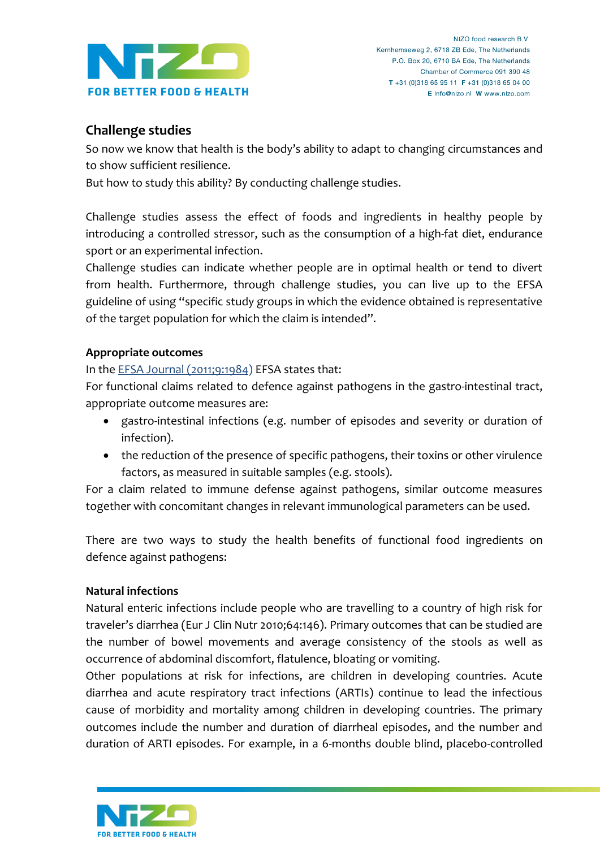

## **Challenge studies**

So now we know that health is the body's ability to adapt to changing circumstances and to show sufficient resilience.

But how to study this ability? By conducting challenge studies.

Challenge studies assess the effect of foods and ingredients in healthy people by introducing a controlled stressor, such as the consumption of a high-fat diet, endurance sport or an experimental infection.

Challenge studies can indicate whether people are in optimal health or tend to divert from health. Furthermore, through challenge studies, you can live up to the EFSA guideline of using "specific study groups in which the evidence obtained is representative of the target population for which the claim is intended".

### **Appropriate outcomes**

In the [EFSA Journal \(2011;9:1984\)](http://www.efsa.europa.eu/en/efsajournal/doc/1984.pdf) EFSA states that:

For functional claims related to defence against pathogens in the gastro-intestinal tract, appropriate outcome measures are:

- gastro-intestinal infections (e.g. number of episodes and severity or duration of infection).
- the reduction of the presence of specific pathogens, their toxins or other virulence factors, as measured in suitable samples (e.g. stools).

For a claim related to immune defense against pathogens, similar outcome measures together with concomitant changes in relevant immunological parameters can be used.

There are two ways to study the health benefits of functional food ingredients on defence against pathogens:

### **Natural infections**

Natural enteric infections include people who are travelling to a country of high risk for traveler's diarrhea (Eur J Clin Nutr 2010;64:146). Primary outcomes that can be studied are the number of bowel movements and average consistency of the stools as well as occurrence of abdominal discomfort, flatulence, bloating or vomiting.

Other populations at risk for infections, are children in developing countries. Acute diarrhea and acute respiratory tract infections (ARTIs) continue to lead the infectious cause of morbidity and mortality among children in developing countries. The primary outcomes include the number and duration of diarrheal episodes, and the number and duration of ARTI episodes. For example, in a 6-months double blind, placebo-controlled

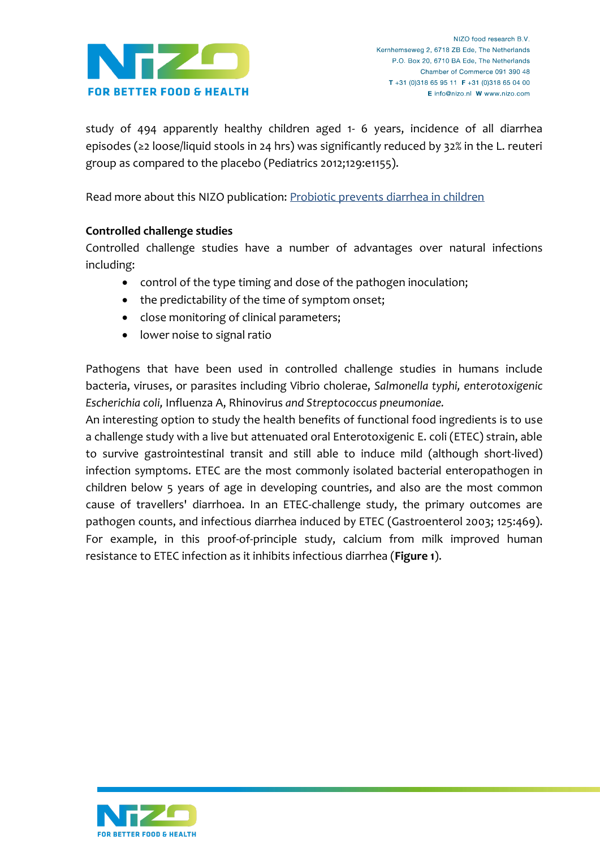

study of 494 apparently healthy children aged 1- 6 years, incidence of all diarrhea episodes (≥2 loose/liquid stools in 24 hrs) was significantly reduced by 32% in the L. reuteri group as compared to the placebo (Pediatrics 2012;129:e1155).

Read more about this NIZO publication: [Probiotic prevents diarrhea in children](http://www.nizo.com/news/latest-news/56/saulnier/)

#### **Controlled challenge studies**

Controlled challenge studies have a number of advantages over natural infections including:

- control of the type timing and dose of the pathogen inoculation;
- the predictability of the time of symptom onset;
- close monitoring of clinical parameters;
- lower noise to signal ratio

Pathogens that have been used in controlled challenge studies in humans include bacteria, viruses, or parasites including Vibrio cholerae, *Salmonella typhi, enterotoxigenic Escherichia coli,* Influenza A, Rhinovirus *and Streptococcus pneumoniae.*

An interesting option to study the health benefits of functional food ingredients is to use a challenge study with a live but attenuated oral Enterotoxigenic E. coli (ETEC) strain, able to survive gastrointestinal transit and still able to induce mild (although short-lived) infection symptoms. ETEC are the most commonly isolated bacterial enteropathogen in children below 5 years of age in developing countries, and also are the most common cause of travellers' diarrhoea. In an ETEC-challenge study, the primary outcomes are pathogen counts, and infectious diarrhea induced by ETEC (Gastroenterol 2003; 125:469). For example, in this proof-of-principle study, calcium from milk improved human resistance to ETEC infection as it inhibits infectious diarrhea (**Figure 1**).

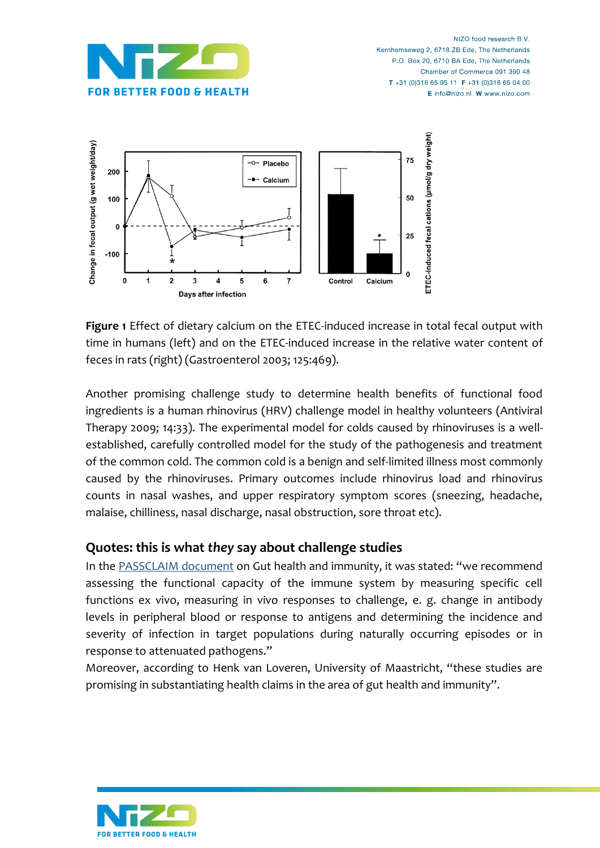



**Figure 1** Effect of dietary calcium on the ETEC-induced increase in total fecal output with time in humans (left) and on the ETEC-induced increase in the relative water content of feces in rats (right) (Gastroenterol 2003; 125:469).

Another promising challenge study to determine health benefits of functional food ingredients is a human rhinovirus (HRV) challenge model in healthy volunteers (Antiviral Therapy 2009; 14:33). The experimental model for colds caused by rhinoviruses is a wellestablished, carefully controlled model for the study of the pathogenesis and treatment of the common cold. The common cold is a benign and self-limited illness most commonly caused by the rhinoviruses. Primary outcomes include rhinovirus load and rhinovirus counts in nasal washes, and upper respiratory symptom scores (sneezing, headache, malaise, chilliness, nasal discharge, nasal obstruction, sore throat etc).

### **Quotes: this is what** *they* **say about challenge studies**

In the [PASSCLAIM document](http://www.ilsi.org/Europe/Documents/PASS_Phase2.5.pdf) on Gut health and immunity, it was stated: "we recommend assessing the functional capacity of the immune system by measuring specific cell functions ex vivo, measuring in vivo responses to challenge, e. g. change in antibody levels in peripheral blood or response to antigens and determining the incidence and severity of infection in target populations during naturally occurring episodes or in response to attenuated pathogens."

Moreover, according to Henk van Loveren, University of Maastricht, "these studies are promising in substantiating health claims in the area of gut health and immunity".